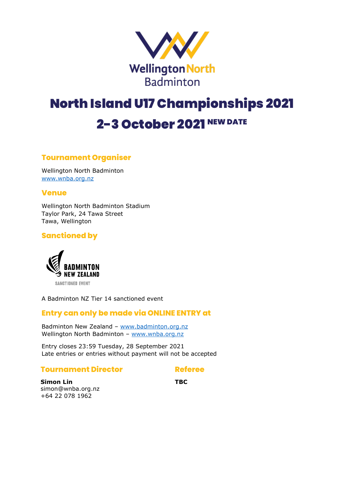

# North Island U17 Championships 2021 2-3 October 2021 NEW DATE

## **Tournament Organiser**

Wellington North Badminton [www.wnba.org.nz](http://www.wnba.org.nz/)

## **Venue**

Wellington North Badminton Stadium Taylor Park, 24 Tawa Street Tawa, Wellington

## **Sanctioned by**



A Badminton NZ Tier 14 sanctioned event

## **Entry can only be made via ONLINE ENTRY at**

Badminton New Zealand – [www.badminton.org.nz](http://www.badminton.org.nz/) Wellington North Badminton - [www.wnba.org.nz](http://www.wnba.org.nz/)

Entry closes 23:59 Tuesday, 28 September 2021 Late entries or entries without payment will not be accepted

#### **Tournament Director**

## **Referee**

**Simon Lin** simon@wnba.org.nz +64 22 078 1962

**TBC**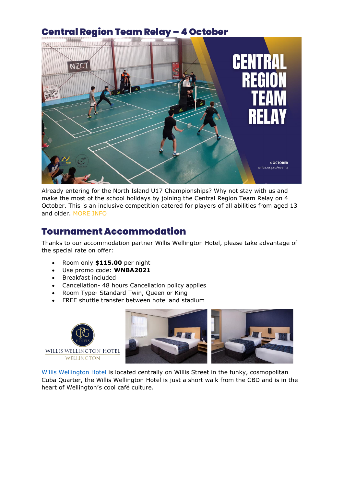# Central Region Team Relay – 4 October



Already entering for the North Island U17 Championships? Why not stay with us and make the most of the school holidays by joining the Central Region Team Relay on 4 October. This is an inclusive competition catered for players of all abilities from aged 13 and older. [MORE INFO](https://www.wnba.org.nz/event/central-region-team-relay/)

## Tournament Accommodation

Thanks to our accommodation partner Willis Wellington Hotel, please take advantage of the special rate on offer:

- Room only **\$115.00** per night
- Use promo code: **WNBA2021**
- Breakfast included
- Cancellation- 48 hours Cancellation policy applies
- Room Type- Standard Twin, Queen or King
- FREE shuttle transfer between hotel and stadium





[Willis Wellington Hotel](https://www.cpghotels.com/our-hotels/willis-wellington-hotel/) is located centrally on Willis Street in the funky, cosmopolitan Cuba Quarter, the Willis Wellington Hotel is just a short walk from the CBD and is in the heart of Wellington's cool café culture.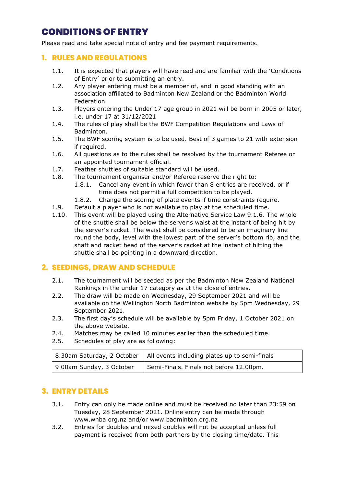## CONDITIONS OF ENTRY

Please read and take special note of entry and fee payment requirements.

## **1. RULES AND REGULATIONS**

- 1.1. It is expected that players will have read and are familiar with the 'Conditions of Entry' prior to submitting an entry.
- 1.2. Any player entering must be a member of, and in good standing with an association affiliated to Badminton New Zealand or the Badminton World Federation.
- 1.3. Players entering the Under 17 age group in 2021 will be born in 2005 or later, i.e. under 17 at 31/12/2021
- 1.4. The rules of play shall be the BWF Competition Regulations and Laws of Badminton.
- 1.5. The BWF scoring system is to be used. Best of 3 games to 21 with extension if required.
- 1.6. All questions as to the rules shall be resolved by the tournament Referee or an appointed tournament official.
- 1.7. Feather shuttles of suitable standard will be used.
- 1.8. The tournament organiser and/or Referee reserve the right to:
	- 1.8.1. Cancel any event in which fewer than 8 entries are received, or if time does not permit a full competition to be played.
	- 1.8.2. Change the scoring of plate events if time constraints require.
- 1.9. Default a player who is not available to play at the scheduled time.
- 1.10. This event will be played using the Alternative Service Law 9.1.6. The whole of the shuttle shall be below the server's waist at the instant of being hit by the server's racket. The waist shall be considered to be an imaginary line round the body, level with the lowest part of the server's bottom rib, and the shaft and racket head of the server's racket at the instant of hitting the shuttle shall be pointing in a downward direction.

## **2. SEEDINGS, DRAW AND SCHEDULE**

- 2.1. The tournament will be seeded as per the Badminton New Zealand National Rankings in the under 17 category as at the close of entries.
- 2.2. The draw will be made on Wednesday, 29 September 2021 and will be available on the Wellington North Badminton website by 5pm Wednesday, 29 September 2021.
- 2.3. The first day's schedule will be available by 5pm Friday, 1 October 2021 on the above website.
- 2.4. Matches may be called 10 minutes earlier than the scheduled time.
- 2.5. Schedules of play are as following:

|                          | 8.30am Saturday, 2 October   All events including plates up to semi-finals |
|--------------------------|----------------------------------------------------------------------------|
| 9.00am Sunday, 3 October | Semi-Finals. Finals not before 12.00pm.                                    |

## **3. ENTRY DETAILS**

- 3.1. Entry can only be made online and must be received no later than 23:59 on Tuesday, 28 September 2021. Online entry can be made through www.wnba.org.nz and/or www.badminton.org.nz
- 3.2. Entries for doubles and mixed doubles will not be accepted unless full payment is received from both partners by the closing time/date. This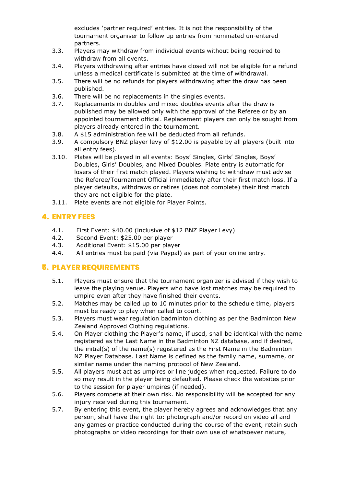excludes 'partner required' entries. It is not the responsibility of the tournament organiser to follow up entries from nominated un-entered partners.

- 3.3. Players may withdraw from individual events without being required to withdraw from all events.
- 3.4. Players withdrawing after entries have closed will not be eligible for a refund unless a medical certificate is submitted at the time of withdrawal.
- 3.5. There will be no refunds for players withdrawing after the draw has been published.
- 3.6. There will be no replacements in the singles events.
- 3.7. Replacements in doubles and mixed doubles events after the draw is published may be allowed only with the approval of the Referee or by an appointed tournament official. Replacement players can only be sought from players already entered in the tournament.
- 3.8. A \$15 administration fee will be deducted from all refunds.
- 3.9. A compulsory BNZ player levy of \$12.00 is payable by all players (built into all entry fees).
- 3.10. Plates will be played in all events: Boys' Singles, Girls' Singles, Boys' Doubles, Girls' Doubles, and Mixed Doubles. Plate entry is automatic for losers of their first match played. Players wishing to withdraw must advise the Referee/Tournament Official immediately after their first match loss. If a player defaults, withdraws or retires (does not complete) their first match they are not eligible for the plate.
- 3.11. Plate events are not eligible for Player Points.

## **4. ENTRY FEES**

- 4.1. First Event: \$40.00 (inclusive of \$12 BNZ Player Levy)
- 4.2. Second Event: \$25.00 per player
- 4.3. Additional Event: \$15.00 per player
- 4.4. All entries must be paid (via Paypal) as part of your online entry.

## **5. PLAYER REQUIREMENTS**

- 5.1. Players must ensure that the tournament organizer is advised if they wish to leave the playing venue. Players who have lost matches may be required to umpire even after they have finished their events.
- 5.2. Matches may be called up to 10 minutes prior to the schedule time, players must be ready to play when called to court.
- 5.3. Players must wear regulation badminton clothing as per the Badminton New Zealand Approved Clothing regulations.
- 5.4. On Player clothing the Player's name, if used, shall be identical with the name registered as the Last Name in the Badminton NZ database, and if desired, the initial(s) of the name(s) registered as the First Name in the Badminton NZ Player Database. Last Name is defined as the family name, surname, or similar name under the naming protocol of New Zealand.
- 5.5. All players must act as umpires or line judges when requested. Failure to do so may result in the player being defaulted. Please check the websites prior to the session for player umpires (if needed).
- 5.6. Players compete at their own risk. No responsibility will be accepted for any injury received during this tournament.
- 5.7. By entering this event, the player hereby agrees and acknowledges that any person, shall have the right to: photograph and/or record on video all and any games or practice conducted during the course of the event, retain such photographs or video recordings for their own use of whatsoever nature,